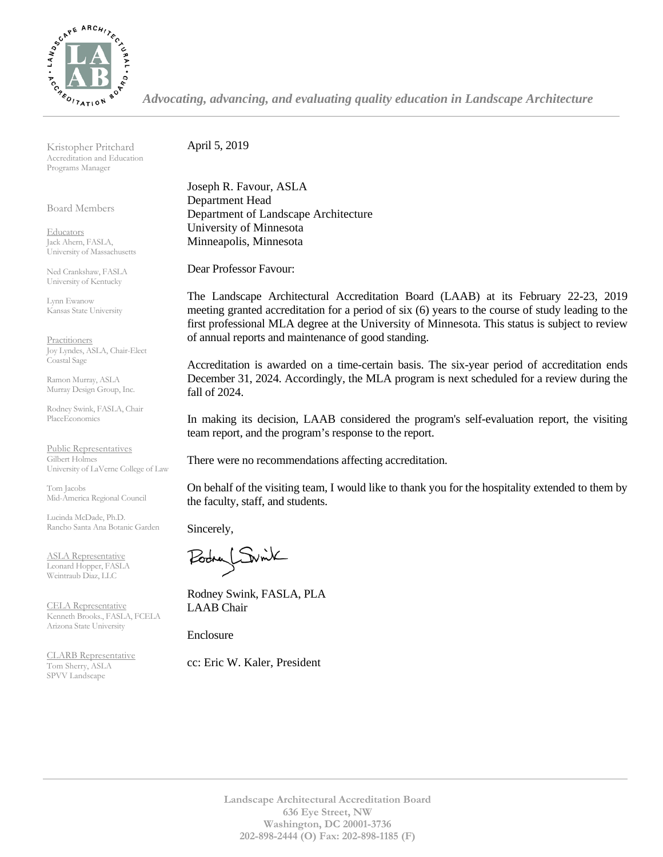

*Advocating, advancing, and evaluating quality education in Landscape Architecture*

Kristopher Pritchard Accreditation and Education Programs Manager

Board Members

**Educators** Jack Ahern, FASLA, University of Massachusetts

Ned Crankshaw, FASLA University of Kentucky

Lynn Ewanow Kansas State University

**Practitioners** Joy Lyndes, ASLA, Chair-Elect Coastal Sage

Ramon Murray, ASLA Murray Design Group, Inc.

Rodney Swink, FASLA, Chair PlaceEconomics

Public Representatives Gilbert Holmes University of LaVerne College of Law

Tom Jacobs Mid-America Regional Council

Lucinda McDade, Ph.D. Rancho Santa Ana Botanic Garden

ASLA Representative Leonard Hopper, FASLA Weintraub Diaz, LLC

CELA Representative Kenneth Brooks., FASLA, FCELA Arizona State University

CLARB Representative Tom Sherry, ASLA SPVV Landscape

April 5, 2019

Joseph R. Favour, ASLA Department Head Department of Landscape Architecture University of Minnesota Minneapolis, Minnesota

Dear Professor Favour:

The Landscape Architectural Accreditation Board (LAAB) at its February 22-23, 2019 meeting granted accreditation for a period of six (6) years to the course of study leading to the first professional MLA degree at the University of Minnesota. This status is subject to review of annual reports and maintenance of good standing.

Accreditation is awarded on a time-certain basis. The six-year period of accreditation ends December 31, 2024. Accordingly, the MLA program is next scheduled for a review during the fall of 2024.

In making its decision, LAAB considered the program's self-evaluation report, the visiting team report, and the program's response to the report.

There were no recommendations affecting accreditation.

On behalf of the visiting team, I would like to thank you for the hospitality extended to them by the faculty, staff, and students.

Sincerely,

LSwik

Rodney Swink, FASLA, PLA LAAB Chair

Enclosure

cc: Eric W. Kaler, President